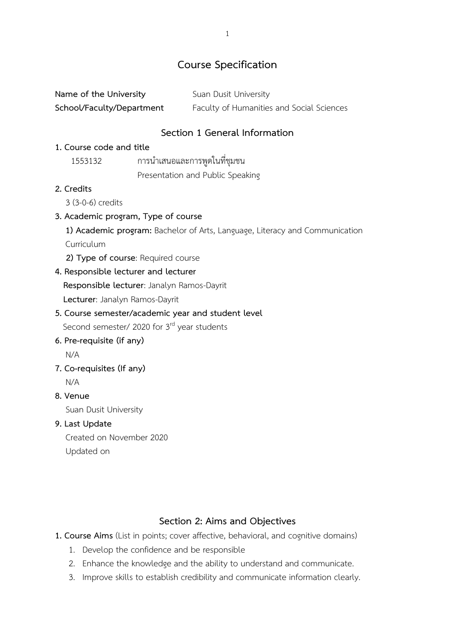# **Course Specification**

| Name of the University    | Suan Dusit University                     |
|---------------------------|-------------------------------------------|
| School/Faculty/Department | Faculty of Humanities and Social Sciences |

## **Section 1 General Information**

### **1. Course code and title**

 1553132 การนำเสนอและการพูดในที่ชุมชน Presentation and Public Speaking

### **2. Credits**

3 (3-0-6) credits

### **3. Academic program, Type of course**

**1) Academic program:** Bachelor of Arts, Language, Literacy and Communication Curriculum

 **2) Type of course**: Required course

### **4. Responsible lecturer and lecturer**

 **Responsible lecturer**: Janalyn Ramos-Dayrit

 **Lecturer**: Janalyn Ramos-Dayrit

# **5. Course semester/academic year and student level**

Second semester/ 2020 for 3<sup>rd</sup> year students

- **6. Pre-requisite (if any)** N/A
- **7. Co-requisites (If any)**
	- N/A

### **8. Venue**

Suan Dusit University

### **9. Last Update**

 Created on November 2020 Updated on

## **Section 2: Aims and Objectives**

**1. Course Aims** (List in points; cover affective, behavioral, and cognitive domains)

- 1. Develop the confidence and be responsible
- 2. Enhance the knowledge and the ability to understand and communicate.
- 3. Improve skills to establish credibility and communicate information clearly.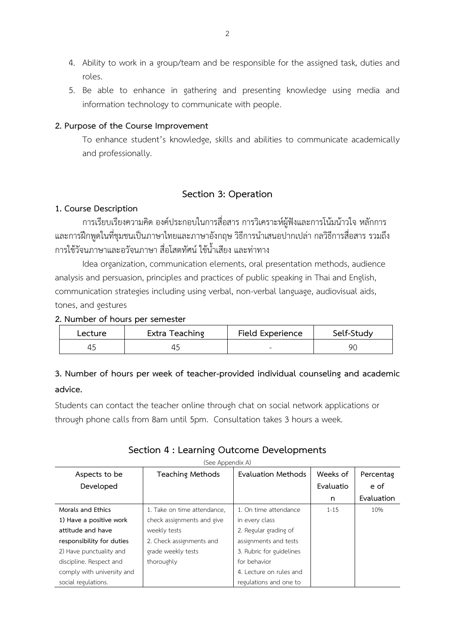- 4. Ability to work in a group/team and be responsible for the assigned task, duties and roles.
- 5. Be able to enhance in gathering and presenting knowledge using media and information technology to communicate with people.

### **2. Purpose of the Course Improvement**

To enhance student's knowledge, skills and abilities to communicate academically and professionally.

## **Section 3: Operation**

### **1. Course Description**

การเรียบเรียงความคิด องค์ประกอบในการสื่อสาร การวิเคราะห์ผู้ฟังและการโน้มน้าวใจ หลักการ และการฝึกพูดในที่ชุมชนเป็นภาษาไทยและภาษาอังกฤษ วิธีการนำเสนอปากเปล่า กลวิธีการสื่อสาร รวมถึง การใช้วัจนภาษาและอวัจนภาษา สื่อโสตทัศน์ ใช้น้ำเสียง และท่าทาง

Idea organization, communication elements, oral presentation methods, audience analysis and persuasion, principles and practices of public speaking in Thai and English, communication strategies including using verbal, non-verbal language, audiovisual aids, tones, and gestures

### **2. Number of hours per semester**

| Lecture | Extra Teaching | Field Experience         | Self-Study |
|---------|----------------|--------------------------|------------|
|         | 41             | $\overline{\phantom{a}}$ | 90         |

# **3. Number of hours per week of teacher-provided individual counseling and academic advice.**

Students can contact the teacher online through chat on social network applications or through phone calls from 8am until 5pm. Consultation takes 3 hours a week.

# **Section 4 : Learning Outcome Developments**

|                            | (See Appendix A)            |                          |           |            |
|----------------------------|-----------------------------|--------------------------|-----------|------------|
| Aspects to be              | <b>Teaching Methods</b>     | Evaluation Methods       | Weeks of  | Percentag  |
| Developed                  |                             |                          | Evaluatio | e of       |
|                            |                             |                          | n         | Evaluation |
| Morals and Ethics          | 1. Take on time attendance, | 1. On time attendance    | $1 - 15$  | 10%        |
| 1) Have a positive work    | check assignments and give  | in every class           |           |            |
| attitude and have          | weekly tests                | 2. Regular grading of    |           |            |
| responsibility for duties  | 2. Check assignments and    | assignments and tests    |           |            |
| 2) Have punctuality and    | grade weekly tests          | 3. Rubric for guidelines |           |            |
| discipline. Respect and    | thoroughly                  | for behavior             |           |            |
| comply with university and |                             | 4. Lecture on rules and  |           |            |
| social regulations.        |                             | regulations and one to   |           |            |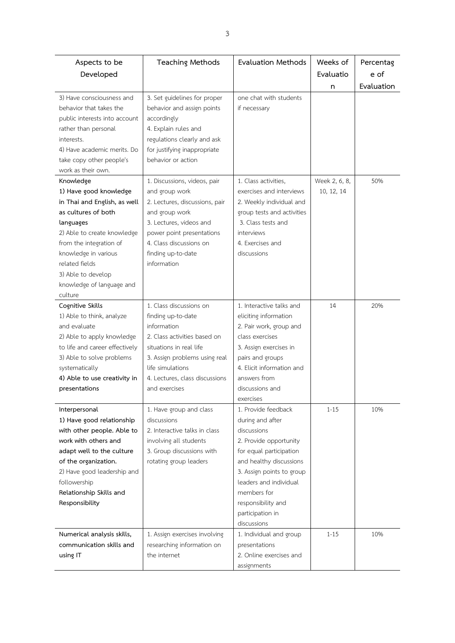| Aspects to be                                      | <b>Teaching Methods</b>                             | <b>Evaluation Methods</b>                           | Weeks of      | Percentag  |
|----------------------------------------------------|-----------------------------------------------------|-----------------------------------------------------|---------------|------------|
| Developed                                          |                                                     |                                                     | Evaluatio     | e of       |
|                                                    |                                                     |                                                     | n             | Evaluation |
| 3) Have consciousness and                          | 3. Set guidelines for proper                        | one chat with students                              |               |            |
| behavior that takes the                            | behavior and assign points                          | if necessary                                        |               |            |
| public interests into account                      | accordingly                                         |                                                     |               |            |
| rather than personal                               | 4. Explain rules and                                |                                                     |               |            |
| interests.                                         | regulations clearly and ask                         |                                                     |               |            |
| 4) Have academic merits. Do                        | for justifying inappropriate                        |                                                     |               |            |
| take copy other people's                           | behavior or action                                  |                                                     |               |            |
| work as their own.                                 |                                                     |                                                     |               |            |
| Knowledge                                          | 1. Discussions, videos, pair                        | 1. Class activities,                                | Week 2, 6, 8, | 50%        |
| 1) Have good knowledge                             | and group work                                      | exercises and interviews                            | 10, 12, 14    |            |
| in Thai and English, as well                       | 2. Lectures, discussions, pair                      | 2. Weekly individual and                            |               |            |
| as cultures of both                                | and group work                                      | group tests and activities                          |               |            |
| languages                                          | 3. Lectures, videos and                             | 3. Class tests and                                  |               |            |
| 2) Able to create knowledge                        | power point presentations                           | interviews                                          |               |            |
| from the integration of                            | 4. Class discussions on                             | 4. Exercises and                                    |               |            |
| knowledge in various                               | finding up-to-date                                  | discussions                                         |               |            |
| related fields                                     | information                                         |                                                     |               |            |
| 3) Able to develop                                 |                                                     |                                                     |               |            |
| knowledge of language and                          |                                                     |                                                     |               |            |
| culture                                            |                                                     |                                                     |               |            |
| Cognitive Skills                                   | 1. Class discussions on                             | 1. Interactive talks and                            | 14            | 20%        |
| 1) Able to think, analyze                          | finding up-to-date                                  | eliciting information                               |               |            |
| and evaluate                                       | information                                         | 2. Pair work, group and                             |               |            |
| 2) Able to apply knowledge                         | 2. Class activities based on                        | class exercises                                     |               |            |
| to life and career effectively                     | situations in real life                             |                                                     |               |            |
|                                                    | 3. Assign problems using real                       | 3. Assign exercises in<br>pairs and groups          |               |            |
| 3) Able to solve problems                          | life simulations                                    | 4. Elicit information and                           |               |            |
| systematically                                     | 4. Lectures, class discussions                      | answers from                                        |               |            |
| 4) Able to use creativity in                       |                                                     |                                                     |               |            |
| presentations                                      | and exercises                                       | discussions and                                     |               |            |
|                                                    | 1. Have group and class                             | exercises<br>1. Provide feedback                    | $1 - 15$      | 10%        |
| Interpersonal<br>1) Have good relationship         | discussions                                         |                                                     |               |            |
|                                                    |                                                     | during and after<br>discussions                     |               |            |
| with other people. Able to<br>work with others and | 2. Interactive talks in class                       |                                                     |               |            |
|                                                    | involving all students<br>3. Group discussions with | 2. Provide opportunity<br>for equal participation   |               |            |
| adapt well to the culture                          |                                                     |                                                     |               |            |
| of the organization.                               | rotating group leaders                              | and healthy discussions                             |               |            |
| 2) Have good leadership and<br>followership        |                                                     | 3. Assign points to group<br>leaders and individual |               |            |
| Relationship Skills and                            |                                                     | members for                                         |               |            |
|                                                    |                                                     |                                                     |               |            |
| Responsibility                                     |                                                     | responsibility and                                  |               |            |
|                                                    |                                                     | participation in<br>discussions                     |               |            |
|                                                    |                                                     |                                                     |               |            |
| Numerical analysis skills,                         | 1. Assign exercises involving                       | 1. Individual and group                             | $1 - 15$      | 10%        |
| communication skills and                           | researching information on                          | presentations                                       |               |            |
| using IT                                           | the internet                                        | 2. Online exercises and                             |               |            |
|                                                    |                                                     | assignments                                         |               |            |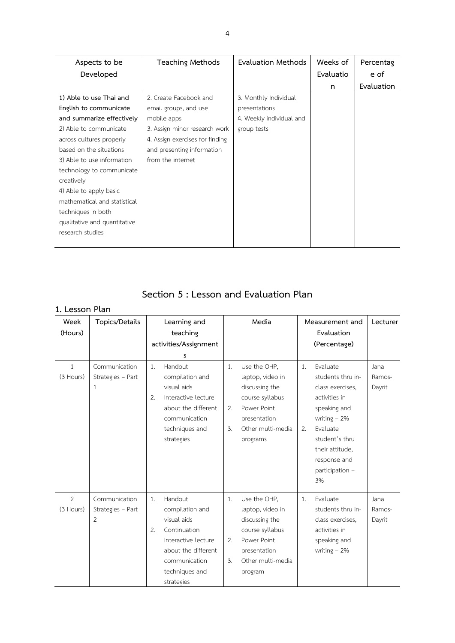| Aspects to be                | <b>Teaching Methods</b>         | Evaluation Methods       | Weeks of  | Percentag  |
|------------------------------|---------------------------------|--------------------------|-----------|------------|
| Developed                    |                                 |                          | Evaluatio | e of       |
|                              |                                 |                          | n         | Evaluation |
| 1) Able to use Thai and      | 2. Create Facebook and          | 3. Monthly Individual    |           |            |
| English to communicate       | email groups, and use           | presentations            |           |            |
| and summarize effectively    | mobile apps                     | 4. Weekly individual and |           |            |
| 2) Able to communicate       | 3. Assign minor research work   | group tests              |           |            |
| across cultures properly     | 4. Assign exercises for finding |                          |           |            |
| based on the situations      | and presenting information      |                          |           |            |
| 3) Able to use information   | from the internet               |                          |           |            |
| technology to communicate    |                                 |                          |           |            |
| creatively                   |                                 |                          |           |            |
| 4) Able to apply basic       |                                 |                          |           |            |
| mathematical and statistical |                                 |                          |           |            |
| techniques in both           |                                 |                          |           |            |
| qualitative and quantitative |                                 |                          |           |            |
| research studies             |                                 |                          |           |            |
|                              |                                 |                          |           |            |

# **Section 5 : Lesson and Evaluation Plan**

## **1. Lesson Plan**

| Week           | Topics/Details    |    | Learning and          |    | Media             |    | Measurement and   | Lecturer |
|----------------|-------------------|----|-----------------------|----|-------------------|----|-------------------|----------|
| (Hours)        |                   |    | teaching              |    |                   |    | Evaluation        |          |
|                |                   |    | activities/Assignment |    |                   |    | (Percentage)      |          |
|                |                   |    | s                     |    |                   |    |                   |          |
| 1              | Communication     | 1. | Handout               | 1. | Use the OHP,      | 1. | Evaluate          | Jana     |
| (3 Hours)      | Strategies - Part |    | compilation and       |    | laptop, video in  |    | students thru in- | Ramos-   |
|                | 1                 |    | visual aids           |    | discussing the    |    | class exercises,  | Dayrit   |
|                |                   | 2. | Interactive lecture   |    | course syllabus   |    | activities in     |          |
|                |                   |    | about the different   | 2. | Power Point       |    | speaking and      |          |
|                |                   |    | communication         |    | presentation      |    | writing $-2\%$    |          |
|                |                   |    | techniques and        | 3. | Other multi-media | 2. | Evaluate          |          |
|                |                   |    | strategies            |    | programs          |    | student's thru    |          |
|                |                   |    |                       |    |                   |    | their attitude,   |          |
|                |                   |    |                       |    |                   |    | response and      |          |
|                |                   |    |                       |    |                   |    | participation -   |          |
|                |                   |    |                       |    |                   |    | 3%                |          |
| $\overline{2}$ | Communication     | 1. | Handout               | 1. | Use the OHP,      | 1. | Evaluate          | Jana     |
| (3 Hours)      | Strategies - Part |    | compilation and       |    | laptop, video in  |    | students thru in- | Ramos-   |
|                | 2                 |    | visual aids           |    | discussing the    |    | class exercises,  | Dayrit   |
|                |                   | 2. | Continuation          |    | course syllabus   |    | activities in     |          |
|                |                   |    | Interactive lecture   | 2. | Power Point       |    | speaking and      |          |
|                |                   |    | about the different   |    | presentation      |    | writing $-2\%$    |          |
|                |                   |    | communication         | 3. | Other multi-media |    |                   |          |
|                |                   |    | techniques and        |    | program           |    |                   |          |
|                |                   |    | strategies            |    |                   |    |                   |          |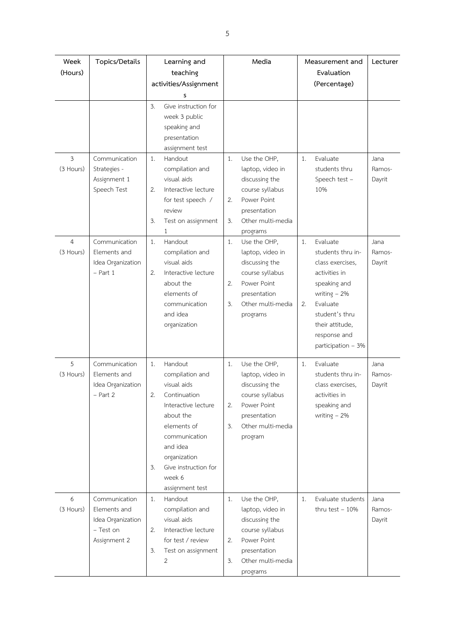| Week           | Topics/Details                                                                  | Learning and                                                                                                                                                                                                                     | Media                                                                                                                                                   | Measurement and                                                                                                                                                                                         | Lecturer                 |
|----------------|---------------------------------------------------------------------------------|----------------------------------------------------------------------------------------------------------------------------------------------------------------------------------------------------------------------------------|---------------------------------------------------------------------------------------------------------------------------------------------------------|---------------------------------------------------------------------------------------------------------------------------------------------------------------------------------------------------------|--------------------------|
| (Hours)        |                                                                                 | teaching                                                                                                                                                                                                                         |                                                                                                                                                         | Evaluation                                                                                                                                                                                              |                          |
|                |                                                                                 | activities/Assignment                                                                                                                                                                                                            |                                                                                                                                                         | (Percentage)                                                                                                                                                                                            |                          |
|                |                                                                                 | s                                                                                                                                                                                                                                |                                                                                                                                                         |                                                                                                                                                                                                         |                          |
|                |                                                                                 | 3.<br>Give instruction for<br>week 3 public<br>speaking and<br>presentation<br>assignment test                                                                                                                                   |                                                                                                                                                         |                                                                                                                                                                                                         |                          |
| 3<br>(3 Hours) | Communication<br>Strategies -<br>Assignment 1<br>Speech Test                    | 1.<br>Handout<br>compilation and<br>visual aids<br>2.<br>Interactive lecture<br>for test speech /                                                                                                                                | Use the OHP.<br>1.<br>laptop, video in<br>discussing the<br>course syllabus<br>Power Point<br>2.                                                        | Evaluate<br>1.<br>students thru<br>Speech test -<br>10%                                                                                                                                                 | Jana<br>Ramos-<br>Dayrit |
|                |                                                                                 | review<br>3.<br>Test on assignment<br>1                                                                                                                                                                                          | presentation<br>3.<br>Other multi-media<br>programs                                                                                                     |                                                                                                                                                                                                         |                          |
| 4<br>(3 Hours) | Communication<br>Elements and<br>Idea Organization<br>$-$ Part 1                | 1.<br>Handout<br>compilation and<br>visual aids<br>2.<br>Interactive lecture<br>about the<br>elements of<br>communication<br>and idea<br>organization                                                                            | 1.<br>Use the OHP,<br>laptop, video in<br>discussing the<br>course syllabus<br>2.<br>Power Point<br>presentation<br>3.<br>Other multi-media<br>programs | Evaluate<br>1.<br>students thru in-<br>class exercises,<br>activities in<br>speaking and<br>writing $-2\%$<br>Evaluate<br>2.<br>student's thru<br>their attitude,<br>response and<br>participation - 3% | Jana<br>Ramos-<br>Dayrit |
| 5<br>(3 Hours) | Communication<br>Elements and<br>Idea Organization<br>$-$ Part 2                | 1.<br>Handout<br>compilation and<br>visual aids<br>2.<br>Continuation<br>Interactive lecture<br>about the<br>elements of<br>communication<br>and idea<br>organization<br>Give instruction for<br>3.<br>week 6<br>assignment test | Use the OHP,<br>1.<br>laptop, video in<br>discussing the<br>course syllabus<br>Power Point<br>2.<br>presentation<br>3.<br>Other multi-media<br>program  | Evaluate<br>1.<br>students thru in-<br>class exercises,<br>activities in<br>speaking and<br>writing $-2\%$                                                                                              | Jana<br>Ramos-<br>Dayrit |
| 6<br>(3 Hours) | Communication<br>Elements and<br>Idea Organization<br>- Test on<br>Assignment 2 | 1.<br>Handout<br>compilation and<br>visual aids<br>Interactive lecture<br>2.<br>for test / review<br>3.<br>Test on assignment<br>2                                                                                               | Use the OHP,<br>1.<br>laptop, video in<br>discussing the<br>course syllabus<br>Power Point<br>2.<br>presentation<br>Other multi-media<br>3.<br>programs | 1.<br>Evaluate students<br>thru test $-10%$                                                                                                                                                             | Jana<br>Ramos-<br>Dayrit |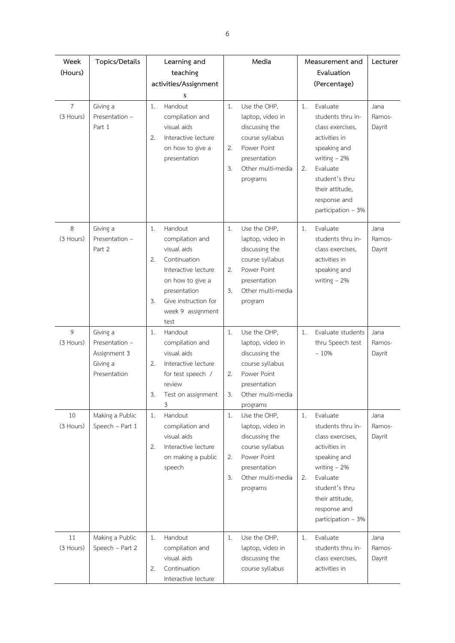| Week<br>(Hours)             | Topics/Details                                                         | Learning and<br>teaching<br>activities/Assignment<br>s                                                                                                                                      | Media                                                                                                                                                   | Measurement and<br>Evaluation<br>(Percentage)                                                                                                                                                           | Lecturer                 |
|-----------------------------|------------------------------------------------------------------------|---------------------------------------------------------------------------------------------------------------------------------------------------------------------------------------------|---------------------------------------------------------------------------------------------------------------------------------------------------------|---------------------------------------------------------------------------------------------------------------------------------------------------------------------------------------------------------|--------------------------|
| $\overline{7}$<br>(3 Hours) | Giving a<br>Presentation -<br>Part 1                                   | Handout<br>1.<br>compilation and<br>visual aids<br>2.<br>Interactive lecture<br>on how to give a<br>presentation                                                                            | Use the OHP,<br>1.<br>laptop, video in<br>discussing the<br>course syllabus<br>Power Point<br>2.<br>presentation<br>3.<br>Other multi-media<br>programs | Evaluate<br>1.<br>students thru in-<br>class exercises,<br>activities in<br>speaking and<br>writing $-2\%$<br>Evaluate<br>2.<br>student's thru<br>their attitude,<br>response and<br>participation - 3% | Jana<br>Ramos-<br>Dayrit |
| 8<br>(3 Hours)              | Giving a<br>Presentation -<br>Part 2                                   | Handout<br>1.<br>compilation and<br>visual aids<br>2.<br>Continuation<br>Interactive lecture<br>on how to give a<br>presentation<br>3.<br>Give instruction for<br>week 9 assignment<br>test | 1.<br>Use the OHP,<br>laptop, video in<br>discussing the<br>course syllabus<br>2.<br>Power Point<br>presentation<br>3.<br>Other multi-media<br>program  | Evaluate<br>1.<br>students thru in-<br>class exercises,<br>activities in<br>speaking and<br>writing $-2\%$                                                                                              | Jana<br>Ramos-<br>Dayrit |
| 9<br>(3 Hours)              | Giving a<br>Presentation -<br>Assignment 3<br>Giving a<br>Presentation | Handout<br>1.<br>compilation and<br>visual aids<br>2.<br>Interactive lecture<br>for test speech /<br>review<br>3<br>Test on assignment<br>3                                                 | Use the OHP,<br>1.<br>laptop, video in<br>discussing the<br>course syllabus<br>Power Point<br>2.<br>presentation<br>3.<br>Other multi-media<br>programs | Evaluate students<br>1.<br>thru Speech test<br>$-10%$                                                                                                                                                   | Jana<br>Ramos-<br>Dayrit |
| 10<br>(3 Hours)             | Making a Public<br>Speech - Part 1                                     | Handout<br>1.<br>compilation and<br>visual aids<br>2.<br>Interactive lecture<br>on making a public<br>speech                                                                                | Use the OHP,<br>1.<br>laptop, video in<br>discussing the<br>course syllabus<br>Power Point<br>2.<br>presentation<br>3.<br>Other multi-media<br>programs | 1.<br>Evaluate<br>students thru in-<br>class exercises,<br>activities in<br>speaking and<br>writing $-2\%$<br>Evaluate<br>2.<br>student's thru<br>their attitude,<br>response and<br>participation - 3% | Jana<br>Ramos-<br>Dayrit |
| 11<br>(3 Hours)             | Making a Public<br>Speech - Part 2                                     | 1.<br>Handout<br>compilation and<br>visual aids<br>2.<br>Continuation<br>Interactive lecture                                                                                                | 1.<br>Use the OHP,<br>laptop, video in<br>discussing the<br>course syllabus                                                                             | Evaluate<br>1.<br>students thru in-<br>class exercises,<br>activities in                                                                                                                                | Jana<br>Ramos-<br>Dayrit |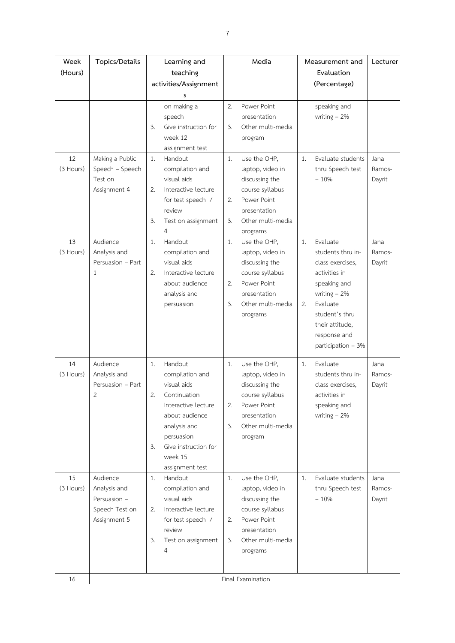| Week<br>(Hours) | Topics/Details                                                             | Learning and<br>teaching                                                                                                                                                                                 |                | Media                                                                                                                                 |          | Measurement and<br>Evaluation                                                                                                                                                               | Lecturer                 |
|-----------------|----------------------------------------------------------------------------|----------------------------------------------------------------------------------------------------------------------------------------------------------------------------------------------------------|----------------|---------------------------------------------------------------------------------------------------------------------------------------|----------|---------------------------------------------------------------------------------------------------------------------------------------------------------------------------------------------|--------------------------|
|                 |                                                                            |                                                                                                                                                                                                          |                |                                                                                                                                       |          |                                                                                                                                                                                             |                          |
|                 |                                                                            | activities/Assignment                                                                                                                                                                                    |                |                                                                                                                                       |          | (Percentage)                                                                                                                                                                                |                          |
|                 |                                                                            | s<br>on making a<br>speech<br>3.<br>Give instruction for<br>week 12<br>assignment test                                                                                                                   | 2.<br>3.       | Power Point<br>presentation<br>Other multi-media<br>program                                                                           |          | speaking and<br>writing $-2\%$                                                                                                                                                              |                          |
| 12<br>(3 Hours) | Making a Public<br>Speech - Speech<br>Test on<br>Assignment 4              | 1.<br>Handout<br>compilation and<br>visual aids<br>2.<br>Interactive lecture<br>for test speech /<br>review<br>3.<br>Test on assignment<br>4                                                             | 1.<br>2.<br>3. | Use the OHP,<br>laptop, video in<br>discussing the<br>course syllabus<br>Power Point<br>presentation<br>Other multi-media<br>programs | 1.       | Evaluate students<br>thru Speech test<br>$-10%$                                                                                                                                             | Jana<br>Ramos-<br>Dayrit |
| 13<br>(3 Hours) | Audience<br>Analysis and<br>Persuasion - Part<br>1                         | Handout<br>1.<br>compilation and<br>visual aids<br>2.<br>Interactive lecture<br>about audience<br>analysis and<br>persuasion                                                                             | 1.<br>2.<br>3. | Use the OHP,<br>laptop, video in<br>discussing the<br>course syllabus<br>Power Point<br>presentation<br>Other multi-media<br>programs | 1.<br>2. | Evaluate<br>students thru in-<br>class exercises,<br>activities in<br>speaking and<br>writing $-2\%$<br>Evaluate<br>student's thru<br>their attitude,<br>response and<br>participation - 3% | Jana<br>Ramos-<br>Dayrit |
| 14<br>(3 Hours) | Audience<br>Analysis and<br>Persuasion - Part<br>2                         | 1.<br>Handout<br>compilation and<br>visual aids<br>2.<br>Continuation<br>Interactive lecture<br>about audience<br>analysis and<br>persuasion<br>Give instruction for<br>3.<br>week 15<br>assignment test | 1.<br>2.<br>3. | Use the OHP,<br>laptop, video in<br>discussing the<br>course syllabus<br>Power Point<br>presentation<br>Other multi-media<br>program  | 1.       | Evaluate<br>students thru in-<br>class exercises,<br>activities in<br>speaking and<br>writing $-2\%$                                                                                        | Jana<br>Ramos-<br>Dayrit |
| 15<br>(3 Hours) | Audience<br>Analysis and<br>Persuasion -<br>Speech Test on<br>Assignment 5 | Handout<br>1.<br>compilation and<br>visual aids<br>Interactive lecture<br>2.<br>for test speech /<br>review<br>3.<br>Test on assignment<br>4                                                             | 1.<br>2.<br>3. | Use the OHP,<br>laptop, video in<br>discussing the<br>course syllabus<br>Power Point<br>presentation<br>Other multi-media<br>programs | 1.       | Evaluate students<br>thru Speech test<br>$-10%$                                                                                                                                             | Jana<br>Ramos-<br>Dayrit |
| 16              |                                                                            |                                                                                                                                                                                                          |                | Final Examination                                                                                                                     |          |                                                                                                                                                                                             |                          |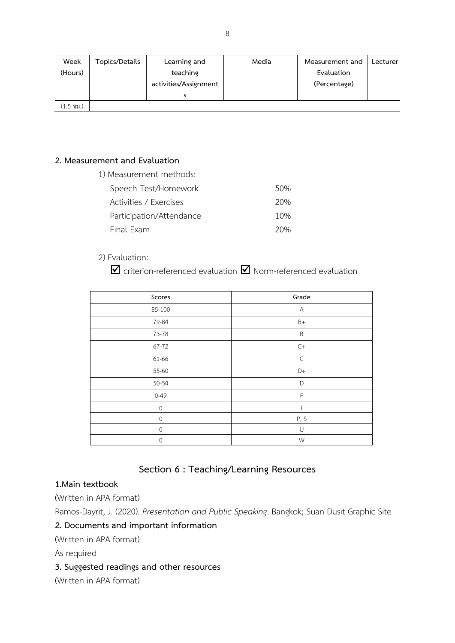| Week      | Topics/Details | Learning and          | Media | Measurement and | Lecturer |
|-----------|----------------|-----------------------|-------|-----------------|----------|
| (Hours)   |                | teaching              |       | Evaluation      |          |
|           |                | activities/Assignment |       | (Percentage)    |          |
|           |                |                       |       |                 |          |
| (1.5 ซม.) |                |                       |       |                 |          |

#### **2. Measurement and Evaluation**

1) Measurement methods: Speech Test/Homework 50%

| SPEECH TESCHIONICWOIN    | - 70 |
|--------------------------|------|
| Activities / Exercises   | 20%  |
| Participation/Attendance | 10%  |
| Final Exam               | 20%  |

### 2) Evaluation:

 $\boxtimes$  criterion-referenced evaluation  $\boxtimes$  Norm-referenced evaluation

| Scores      | Grade                  |
|-------------|------------------------|
| 85-100      | A                      |
| 79-84       | $B+$                   |
| 73-78       | $\sf B$                |
| 67-72       | $\mathsf{C}\mathsf{+}$ |
| 61-66       | $\subset$              |
| 55-60       | D+                     |
| 50-54       | D                      |
| $0 - 49$    | F                      |
| $\mathbf 0$ |                        |
| $\mathbf 0$ | P, S                   |
| 0           | $\cup$                 |
| $\mathbf 0$ | W                      |

## **Section 6 : Teaching/Learning Resources**

### **1.Main textbook**

(Written in APA format)

Ramos-Dayrit, J. (2020). *Presentation and Public Speaking*. Bangkok; Suan Dusit Graphic Site

### **2. Documents and important information**

(Written in APA format)

As required

### **3. Suggested readings and other resources**

(Written in APA format)